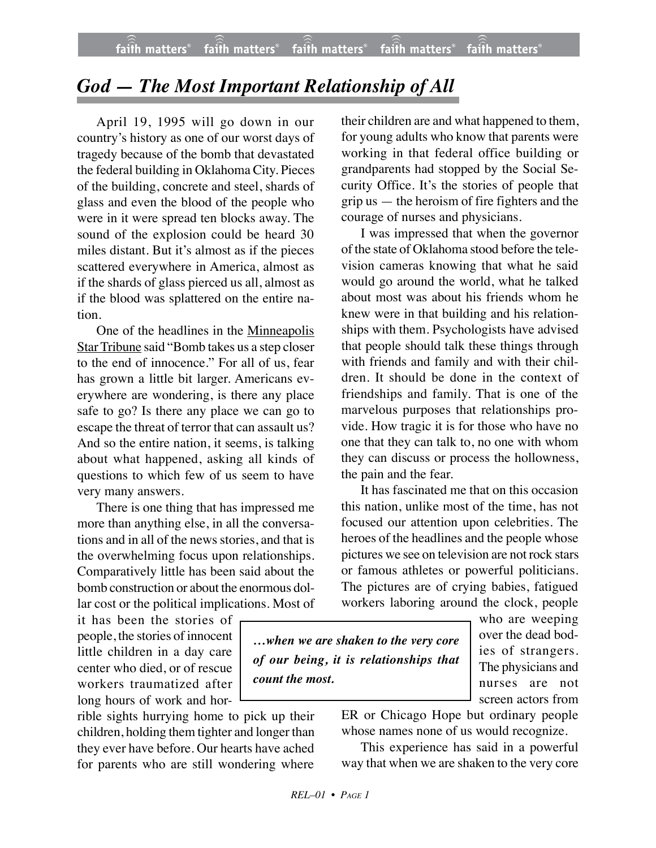## *God — The Most Important Relationship of All*

April 19, 1995 will go down in our country's history as one of our worst days of tragedy because of the bomb that devastated the federal building in Oklahoma City. Pieces of the building, concrete and steel, shards of glass and even the blood of the people who were in it were spread ten blocks away. The sound of the explosion could be heard 30 miles distant. But it's almost as if the pieces scattered everywhere in America, almost as if the shards of glass pierced us all, almost as if the blood was splattered on the entire nation.

One of the headlines in the Minneapolis Star Tribune said "Bomb takes us a step closer to the end of innocence." For all of us, fear has grown a little bit larger. Americans everywhere are wondering, is there any place safe to go? Is there any place we can go to escape the threat of terror that can assault us? And so the entire nation, it seems, is talking about what happened, asking all kinds of questions to which few of us seem to have very many answers.

There is one thing that has impressed me more than anything else, in all the conversations and in all of the news stories, and that is the overwhelming focus upon relationships. Comparatively little has been said about the bomb construction or about the enormous dollar cost or the political implications. Most of

it has been the stories of people, the stories of innocent little children in a day care center who died, or of rescue workers traumatized after long hours of work and hor-

rible sights hurrying home to pick up their children, holding them tighter and longer than they ever have before. Our hearts have ached for parents who are still wondering where

their children are and what happened to them, for young adults who know that parents were working in that federal office building or grandparents had stopped by the Social Security Office. It's the stories of people that grip us — the heroism of fire fighters and the courage of nurses and physicians.

I was impressed that when the governor of the state of Oklahoma stood before the television cameras knowing that what he said would go around the world, what he talked about most was about his friends whom he knew were in that building and his relationships with them. Psychologists have advised that people should talk these things through with friends and family and with their children. It should be done in the context of friendships and family. That is one of the marvelous purposes that relationships provide. How tragic it is for those who have no one that they can talk to, no one with whom they can discuss or process the hollowness, the pain and the fear.

It has fascinated me that on this occasion this nation, unlike most of the time, has not focused our attention upon celebrities. The heroes of the headlines and the people whose pictures we see on television are not rock stars or famous athletes or powerful politicians. The pictures are of crying babies, fatigued workers laboring around the clock, people

*…when we are shaken to the very core of our being, it is relationships that count the most.*

who are weeping over the dead bodies of strangers. The physicians and nurses are not screen actors from

ER or Chicago Hope but ordinary people whose names none of us would recognize.

This experience has said in a powerful way that when we are shaken to the very core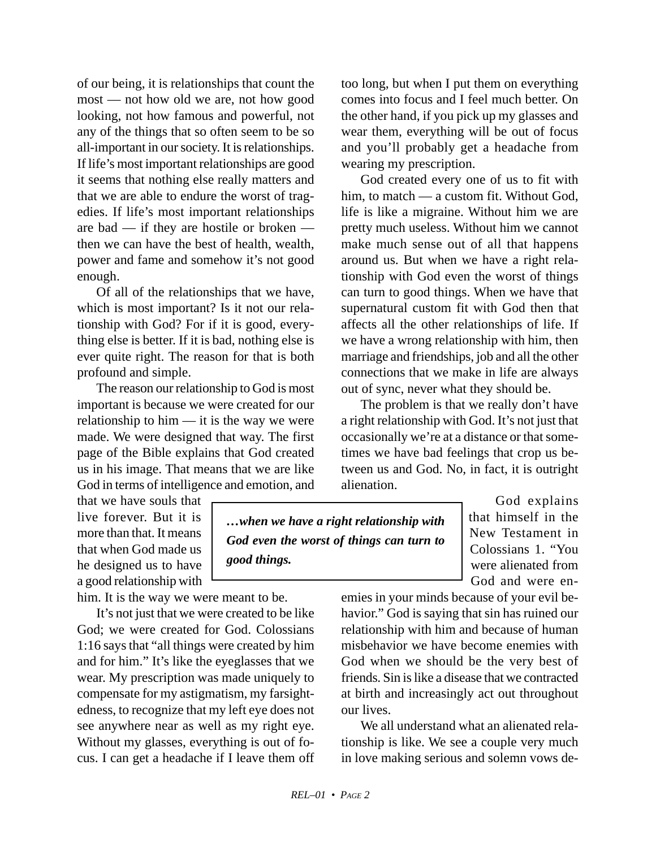of our being, it is relationships that count the most — not how old we are, not how good looking, not how famous and powerful, not any of the things that so often seem to be so all-important in our society. It is relationships. If life's most important relationships are good it seems that nothing else really matters and that we are able to endure the worst of tragedies. If life's most important relationships are bad — if they are hostile or broken then we can have the best of health, wealth, power and fame and somehow it's not good enough.

Of all of the relationships that we have, which is most important? Is it not our relationship with God? For if it is good, everything else is better. If it is bad, nothing else is ever quite right. The reason for that is both profound and simple.

The reason our relationship to God is most important is because we were created for our relationship to him — it is the way we were made. We were designed that way. The first page of the Bible explains that God created us in his image. That means that we are like God in terms of intelligence and emotion, and

that we have souls that live forever. But it is more than that. It means that when God made us he designed us to have a good relationship with

him. It is the way we were meant to be.

It's not just that we were created to be like God; we were created for God. Colossians 1:16 says that "all things were created by him and for him." It's like the eyeglasses that we wear. My prescription was made uniquely to compensate for my astigmatism, my farsightedness, to recognize that my left eye does not see anywhere near as well as my right eye. Without my glasses, everything is out of focus. I can get a headache if I leave them off

too long, but when I put them on everything comes into focus and I feel much better. On the other hand, if you pick up my glasses and wear them, everything will be out of focus and you'll probably get a headache from wearing my prescription.

God created every one of us to fit with him, to match — a custom fit. Without God, life is like a migraine. Without him we are pretty much useless. Without him we cannot make much sense out of all that happens around us. But when we have a right relationship with God even the worst of things can turn to good things. When we have that supernatural custom fit with God then that affects all the other relationships of life. If we have a wrong relationship with him, then marriage and friendships, job and all the other connections that we make in life are always out of sync, never what they should be.

The problem is that we really don't have a right relationship with God. It's not just that occasionally we're at a distance or that sometimes we have bad feelings that crop us between us and God. No, in fact, it is outright alienation.

*…when we have a right relationship with God even the worst of things can turn to good things.*

God explains that himself in the New Testament in Colossians 1. "You were alienated from God and were en-

emies in your minds because of your evil behavior." God is saying that sin has ruined our relationship with him and because of human misbehavior we have become enemies with God when we should be the very best of friends. Sin is like a disease that we contracted at birth and increasingly act out throughout our lives.

We all understand what an alienated relationship is like. We see a couple very much in love making serious and solemn vows de-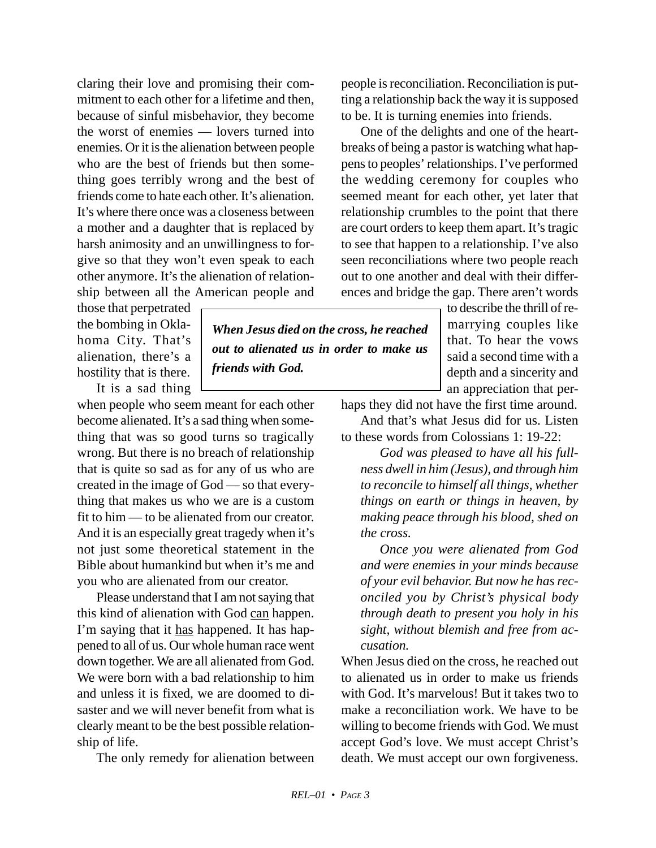claring their love and promising their commitment to each other for a lifetime and then, because of sinful misbehavior, they become the worst of enemies — lovers turned into enemies. Or it is the alienation between people who are the best of friends but then something goes terribly wrong and the best of friends come to hate each other. It's alienation. It's where there once was a closeness between a mother and a daughter that is replaced by harsh animosity and an unwillingness to forgive so that they won't even speak to each other anymore. It's the alienation of relationship between all the American people and

those that perpetrated the bombing in Oklahoma City. That's alienation, there's a hostility that is there.

It is a sad thing

when people who seem meant for each other become alienated. It's a sad thing when something that was so good turns so tragically wrong. But there is no breach of relationship that is quite so sad as for any of us who are created in the image of God — so that everything that makes us who we are is a custom fit to him — to be alienated from our creator. And it is an especially great tragedy when it's not just some theoretical statement in the Bible about humankind but when it's me and you who are alienated from our creator.

Please understand that I am not saying that this kind of alienation with God can happen. I'm saying that it has happened. It has happened to all of us. Our whole human race went down together. We are all alienated from God. We were born with a bad relationship to him and unless it is fixed, we are doomed to disaster and we will never benefit from what is clearly meant to be the best possible relationship of life.

The only remedy for alienation between

people is reconciliation. Reconciliation is putting a relationship back the way it is supposed to be. It is turning enemies into friends.

One of the delights and one of the heartbreaks of being a pastor is watching what happens to peoples' relationships. I've performed the wedding ceremony for couples who seemed meant for each other, yet later that relationship crumbles to the point that there are court orders to keep them apart. It's tragic to see that happen to a relationship. I've also seen reconciliations where two people reach out to one another and deal with their differences and bridge the gap. There aren't words

> to describe the thrill of remarrying couples like that. To hear the vows said a second time with a depth and a sincerity and an appreciation that per-

haps they did not have the first time around. And that's what Jesus did for us. Listen

to these words from Colossians 1: 19-22:

*God was pleased to have all his fullness dwell in him (Jesus), and through him to reconcile to himself all things, whether things on earth or things in heaven, by making peace through his blood, shed on the cross.*

*Once you were alienated from God and were enemies in your minds because of your evil behavior. But now he has reconciled you by Christ's physical body through death to present you holy in his sight, without blemish and free from accusation.*

When Jesus died on the cross, he reached out to alienated us in order to make us friends with God. It's marvelous! But it takes two to make a reconciliation work. We have to be willing to become friends with God. We must accept God's love. We must accept Christ's death. We must accept our own forgiveness.

*When Jesus died on the cross, he reached out to alienated us in order to make us*

*friends with God.*